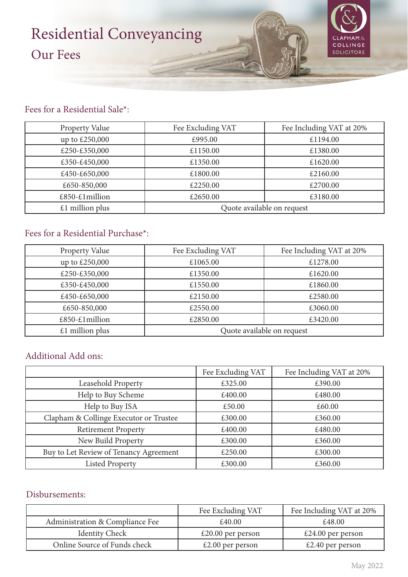# Residential Conveyancing Our Fees



### Fees for a Residential Sale\*:

| <b>Property Value</b> | Fee Excluding VAT          | Fee Including VAT at 20% |
|-----------------------|----------------------------|--------------------------|
| up to £250,000        | £995.00                    | £1194.00                 |
| £250-£350,000         | £1150.00                   | £1380.00                 |
| £350-£450,000         | £1350.00                   | £1620.00                 |
| £450-£650,000         | £1800.00                   | £2160.00                 |
| £650-850,000          | £2250.00                   | £2700.00                 |
| £850-£1million        | £2650.00                   | £3180.00                 |
| $£1$ million plus     | Quote available on request |                          |

## Fees for a Residential Purchase\*:

| Property Value    | Fee Excluding VAT          | Fee Including VAT at 20% |
|-------------------|----------------------------|--------------------------|
| up to £250,000    | £1065.00                   | £1278.00                 |
| £250-£350,000     | £1350.00                   | £1620.00                 |
| £350-£450,000     | £1550.00                   | £1860.00                 |
| £450-£650,000     | £2150.00                   | £2580.00                 |
| £650-850,000      | £2550.00                   | £3060.00                 |
| £850-£1million    | £2850.00                   | £3420.00                 |
| $£1$ million plus | Quote available on request |                          |

#### Additional Add ons:

|                                        | Fee Excluding VAT | Fee Including VAT at 20% |
|----------------------------------------|-------------------|--------------------------|
| Leasehold Property                     | £325.00           | £390.00                  |
| Help to Buy Scheme                     | £400.00           | £480.00                  |
| Help to Buy ISA                        | £50.00            | £60.00                   |
| Clapham & Collinge Executor or Trustee | £300.00           | £360.00                  |
| <b>Retirement Property</b>             | £400.00           | £480.00                  |
| New Build Property                     | £300.00           | £360.00                  |
| Buy to Let Review of Tenancy Agreement | £250.00           | £300.00                  |
| <b>Listed Property</b>                 | £300.00           | £360.00                  |

#### Disbursements:

|                                 | Fee Excluding VAT                | Fee Including VAT at 20% |
|---------------------------------|----------------------------------|--------------------------|
| Administration & Compliance Fee | £40.00                           | £48.00                   |
| <b>Identity Check</b>           | $\text{\pounds}20.00$ per person | $£24.00$ per person      |
| Online Source of Funds check    | £2.00 per person                 | £2.40 per person         |